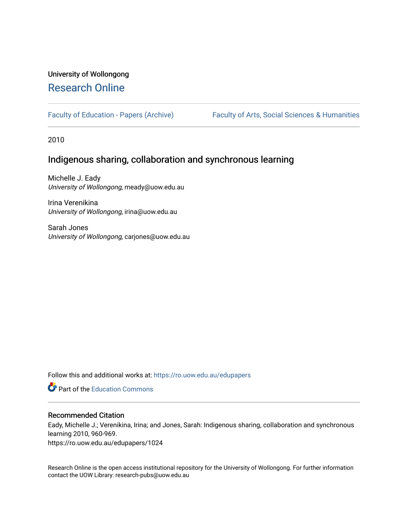# University of Wollongong [Research Online](https://ro.uow.edu.au/)

[Faculty of Education - Papers \(Archive\)](https://ro.uow.edu.au/edupapers) Faculty of Arts, Social Sciences & Humanities

2010

# Indigenous sharing, collaboration and synchronous learning

Michelle J. Eady University of Wollongong, meady@uow.edu.au

Irina Verenikina University of Wollongong, irina@uow.edu.au

Sarah Jones University of Wollongong, carjones@uow.edu.au

Follow this and additional works at: [https://ro.uow.edu.au/edupapers](https://ro.uow.edu.au/edupapers?utm_source=ro.uow.edu.au%2Fedupapers%2F1024&utm_medium=PDF&utm_campaign=PDFCoverPages) 

**C** Part of the [Education Commons](http://network.bepress.com/hgg/discipline/784?utm_source=ro.uow.edu.au%2Fedupapers%2F1024&utm_medium=PDF&utm_campaign=PDFCoverPages)

## Recommended Citation

Eady, Michelle J.; Verenikina, Irina; and Jones, Sarah: Indigenous sharing, collaboration and synchronous learning 2010, 960-969.

https://ro.uow.edu.au/edupapers/1024

Research Online is the open access institutional repository for the University of Wollongong. For further information contact the UOW Library: research-pubs@uow.edu.au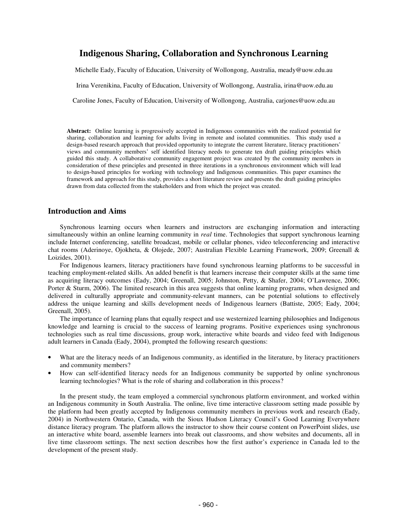# **Indigenous Sharing, Collaboration and Synchronous Learning**

Michelle Eady, Faculty of Education, University of Wollongong, Australia, meady@uow.edu.au

Irina Verenikina, Faculty of Education, University of Wollongong, Australia, irina@uow.edu.au

Caroline Jones, Faculty of Education, University of Wollongong, Australia, carjones@uow.edu.au

**Abstract:** Online learning is progressively accepted in Indigenous communities with the realized potential for sharing, collaboration and learning for adults living in remote and isolated communities. This study used a design-based research approach that provided opportunity to integrate the current literature, literacy practitioners' views and community members' self identified literacy needs to generate ten draft guiding principles which guided this study. A collaborative community engagement project was created by the community members in consideration of these principles and presented in three iterations in a synchronous environment which will lead to design-based principles for working with technology and Indigenous communities. This paper examines the framework and approach for this study, provides a short literature review and presents the draft guiding principles drawn from data collected from the stakeholders and from which the project was created.

## **Introduction and Aims**

Synchronous learning occurs when learners and instructors are exchanging information and interacting simultaneously within an online learning community in *real* time. Technologies that support synchronous learning include Internet conferencing, satellite broadcast, mobile or cellular phones, video teleconferencing and interactive chat rooms (Aderinoye, Ojokheta, & Olojede, 2007; Australian Flexible Learning Framework, 2009; Greenall & Loizides, 2001).

For Indigenous learners, literacy practitioners have found synchronous learning platforms to be successful in teaching employment-related skills. An added benefit is that learners increase their computer skills at the same time as acquiring literacy outcomes (Eady, 2004; Greenall, 2005; Johnston, Petty, & Shafer, 2004; O'Lawrence, 2006; Porter & Sturm, 2006). The limited research in this area suggests that online learning programs, when designed and delivered in culturally appropriate and community-relevant manners, can be potential solutions to effectively address the unique learning and skills development needs of Indigenous learners (Battiste, 2005; Eady, 2004; Greenall, 2005).

The importance of learning plans that equally respect and use westernized learning philosophies and Indigenous knowledge and learning is crucial to the success of learning programs. Positive experiences using synchronous technologies such as real time discussions, group work, interactive white boards and video feed with Indigenous adult learners in Canada (Eady, 2004), prompted the following research questions:

- What are the literacy needs of an Indigenous community, as identified in the literature, by literacy practitioners and community members?
- How can self-identified literacy needs for an Indigenous community be supported by online synchronous learning technologies? What is the role of sharing and collaboration in this process?

In the present study, the team employed a commercial synchronous platform environment, and worked within an Indigenous community in South Australia. The online, live time interactive classroom setting made possible by the platform had been greatly accepted by Indigenous community members in previous work and research (Eady, 2004) in Northwestern Ontario, Canada, with the Sioux Hudson Literacy Council's Good Learning Everywhere distance literacy program. The platform allows the instructor to show their course content on PowerPoint slides, use an interactive white board, assemble learners into break out classrooms, and show websites and documents, all in live time classroom settings. The next section describes how the first author's experience in Canada led to the development of the present study.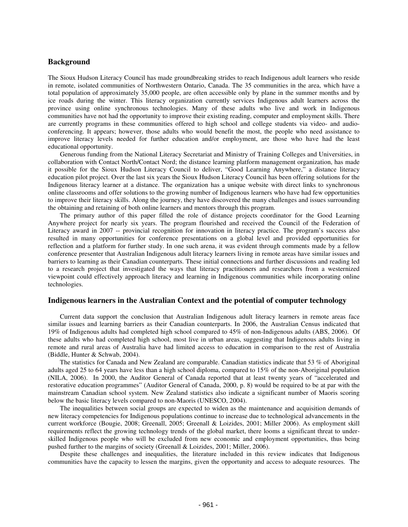## **Background**

The Sioux Hudson Literacy Council has made groundbreaking strides to reach Indigenous adult learners who reside in remote, isolated communities of Northwestern Ontario, Canada. The 35 communities in the area, which have a total population of approximately 35,000 people, are often accessible only by plane in the summer months and by ice roads during the winter. This literacy organization currently services Indigenous adult learners across the province using online synchronous technologies. Many of these adults who live and work in Indigenous communities have not had the opportunity to improve their existing reading, computer and employment skills. There are currently programs in these communities offered to high school and college students via video- and audioconferencing. It appears; however, those adults who would benefit the most, the people who need assistance to improve literacy levels needed for further education and/or employment, are those who have had the least educational opportunity.

Generous funding from the National Literacy Secretariat and Ministry of Training Colleges and Universities, in collaboration with Contact North/Contact Nord; the distance learning platform management organization, has made it possible for the Sioux Hudson Literacy Council to deliver, "Good Learning Anywhere," a distance literacy education pilot project. Over the last six years the Sioux Hudson Literacy Council has been offering solutions for the Indigenous literacy learner at a distance. The organization has a unique website with direct links to synchronous online classrooms and offer solutions to the growing number of Indigenous learners who have had few opportunities to improve their literacy skills. Along the journey, they have discovered the many challenges and issues surrounding the obtaining and retaining of both online learners and mentors through this program.

The primary author of this paper filled the role of distance projects coordinator for the Good Learning Anywhere project for nearly six years. The program flourished and received the Council of the Federation of Literacy award in 2007 -- provincial recognition for innovation in literacy practice. The program's success also resulted in many opportunities for conference presentations on a global level and provided opportunities for reflection and a platform for further study. In one such arena, it was evident through comments made by a fellow conference presenter that Australian Indigenous adult literacy learners living in remote areas have similar issues and barriers to learning as their Canadian counterparts. These initial connections and further discussions and reading led to a research project that investigated the ways that literacy practitioners and researchers from a westernized viewpoint could effectively approach literacy and learning in Indigenous communities while incorporating online technologies.

## **Indigenous learners in the Australian Context and the potential of computer technology**

Current data support the conclusion that Australian Indigenous adult literacy learners in remote areas face similar issues and learning barriers as their Canadian counterparts. In 2006, the Australian Census indicated that 19% of Indigenous adults had completed high school compared to 45% of non-Indigenous adults (ABS, 2006). Of these adults who had completed high school, most live in urban areas, suggesting that Indigenous adults living in remote and rural areas of Australia have had limited access to education in comparison to the rest of Australia (Biddle, Hunter & Schwab, 2004).

The statistics for Canada and New Zealand are comparable. Canadian statistics indicate that 53 % of Aboriginal adults aged 25 to 64 years have less than a high school diploma, compared to 15% of the non-Aboriginal population (NILA, 2006). In 2000, the Auditor General of Canada reported that at least twenty years of "accelerated and restorative education programmes" (Auditor General of Canada, 2000, p. 8) would be required to be at par with the mainstream Canadian school system. New Zealand statistics also indicate a significant number of Maoris scoring below the basic literacy levels compared to non-Maoris (UNESCO, 2004).

The inequalities between social groups are expected to widen as the maintenance and acquisition demands of new literacy competencies for Indigenous populations continue to increase due to technological advancements in the current workforce (Bougie, 2008; Greenall, 2005; Greenall & Loizides, 2001; Miller 2006). As employment skill requirements reflect the growing technology trends of the global market, there looms a significant threat to underskilled Indigenous people who will be excluded from new economic and employment opportunities, thus being pushed further to the margins of society (Greenall & Loizides, 2001; Miller, 2006).

Despite these challenges and inequalities, the literature included in this review indicates that Indigenous communities have the capacity to lessen the margins, given the opportunity and access to adequate resources. The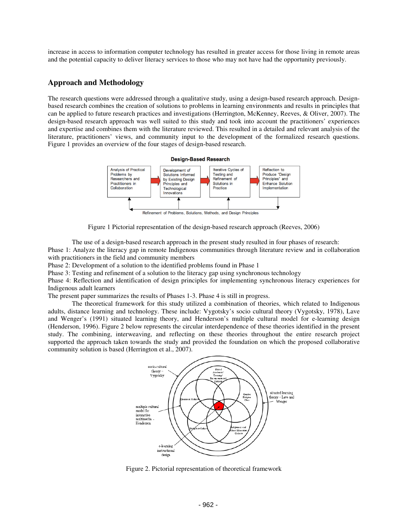increase in access to information computer technology has resulted in greater access for those living in remote areas and the potential capacity to deliver literacy services to those who may not have had the opportunity previously.

## **Approach and Methodology**

The research questions were addressed through a qualitative study, using a design-based research approach. Designbased research combines the creation of solutions to problems in learning environments and results in principles that can be applied to future research practices and investigations (Herrington, McKenney, Reeves, & Oliver, 2007). The design-based research approach was well suited to this study and took into account the practitioners' experiences and expertise and combines them with the literature reviewed. This resulted in a detailed and relevant analysis of the literature, practitioners' views, and community input to the development of the formalized research questions. Figure 1 provides an overview of the four stages of design-based research.



Figure 1 Pictorial representation of the design-based research approach (Reeves, 2006)

The use of a design-based research approach in the present study resulted in four phases of research: Phase 1: Analyze the literacy gap in remote Indigenous communities through literature review and in collaboration with practitioners in the field and community members

Phase 2: Development of a solution to the identified problems found in Phase 1

Phase 3: Testing and refinement of a solution to the literacy gap using synchronous technology

Phase 4: Reflection and identification of design principles for implementing synchronous literacy experiences for Indigenous adult learners

The present paper summarizes the results of Phases 1-3. Phase 4 is still in progress.

The theoretical framework for this study utilized a combination of theories, which related to Indigenous adults, distance learning and technology. These include: Vygotsky's socio cultural theory (Vygotsky, 1978), Lave and Wenger's (1991) situated learning theory, and Henderson's multiple cultural model for e-learning design (Henderson, 1996). Figure 2 below represents the circular interdependence of these theories identified in the present study. The combining, interweaving, and reflecting on these theories throughout the entire research project supported the approach taken towards the study and provided the foundation on which the proposed collaborative community solution is based (Herrington et al., 2007).



Figure 2. Pictorial representation of theoretical framework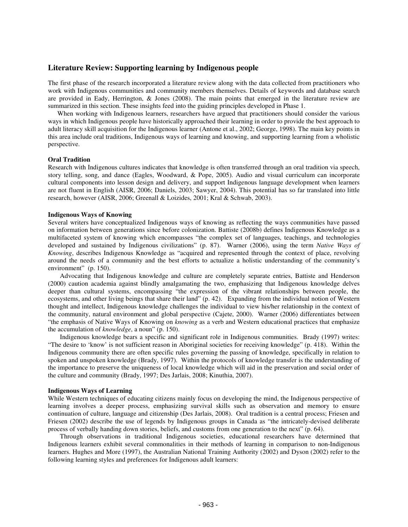## **Literature Review: Supporting learning by Indigenous people**

The first phase of the research incorporated a literature review along with the data collected from practitioners who work with Indigenous communities and community members themselves. Details of keywords and database search are provided in Eady, Herrington, & Jones (2008). The main points that emerged in the literature review are summarized in this section. These insights feed into the guiding principles developed in Phase 1.

When working with Indigenous learners, researchers have argued that practitioners should consider the various ways in which Indigenous people have historically approached their learning in order to provide the best approach to adult literacy skill acquisition for the Indigenous learner (Antone et al., 2002; George, 1998). The main key points in this area include oral traditions, Indigenous ways of learning and knowing, and supporting learning from a wholistic perspective.

#### **Oral Tradition**

Research with Indigenous cultures indicates that knowledge is often transferred through an oral tradition via speech, story telling, song, and dance (Eagles, Woodward, & Pope, 2005). Audio and visual curriculum can incorporate cultural components into lesson design and delivery, and support Indigenous language development when learners are not fluent in English (AISR, 2006; Daniels, 2003; Sawyer, 2004). This potential has so far translated into little research, however (AISR, 2006; Greenall & Loizides, 2001; Kral & Schwab, 2003).

#### **Indigenous Ways of Knowing**

Several writers have conceptualized Indigenous ways of knowing as reflecting the ways communities have passed on information between generations since before colonization. Battiste (2008b) defines Indigenous Knowledge as a multifaceted system of knowing which encompasses "the complex set of languages, teachings, and technologies developed and sustained by Indigenous civilizations" (p. 87). Warner (2006), using the term *Native Ways of Knowing*, describes Indigenous Knowledge as "acquired and represented through the context of place, revolving around the needs of a community and the best efforts to actualize a holistic understanding of the community's environment" (p. 150).

Advocating that Indigenous knowledge and culture are completely separate entries, Battiste and Henderson (2000) caution academia against blindly amalgamating the two, emphasizing that Indigenous knowledge delves deeper than cultural systems, encompassing "the expression of the vibrant relationships between people, the ecosystems, and other living beings that share their land" (p. 42). Expanding from the individual notion of Western thought and intellect, Indigenous knowledge challenges the individual to view his/her relationship in the context of the community, natural environment and global perspective (Cajete, 2000). Warner (2006) differentiates between "the emphasis of Native Ways of Knowing on *knowing* as a verb and Western educational practices that emphasize the accumulation of *knowledge*, a noun" (p. 150).

Indigenous knowledge bears a specific and significant role in Indigenous communities. Brady (1997) writes: "The desire to 'know' is not sufficient reason in Aboriginal societies for receiving knowledge" (p. 418). Within the Indigenous community there are often specific rules governing the passing of knowledge, specifically in relation to spoken and unspoken knowledge (Brady, 1997). Within the protocols of knowledge transfer is the understanding of the importance to preserve the uniqueness of local knowledge which will aid in the preservation and social order of the culture and community (Brady, 1997; Des Jarlais, 2008; Kinuthia, 2007).

## **Indigenous Ways of Learning**

While Western techniques of educating citizens mainly focus on developing the mind, the Indigenous perspective of learning involves a deeper process, emphasizing survival skills such as observation and memory to ensure continuation of culture, language and citizenship (Des Jarlais, 2008). Oral tradition is a central process; Friesen and Friesen (2002) describe the use of legends by Indigenous groups in Canada as "the intricately-devised deliberate process of verbally handing down stories, beliefs, and customs from one generation to the next" (p. 64).

Through observations in traditional Indigenous societies, educational researchers have determined that Indigenous learners exhibit several commonalities in their methods of learning in comparison to non-Indigenous learners. Hughes and More (1997), the Australian National Training Authority (2002) and Dyson (2002) refer to the following learning styles and preferences for Indigenous adult learners: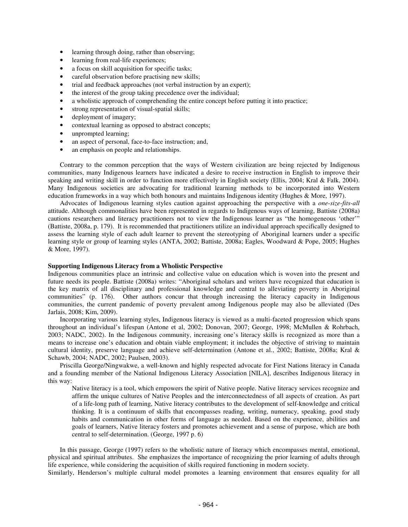- learning through doing, rather than observing;
- learning from real-life experiences;
- a focus on skill acquisition for specific tasks;
- careful observation before practising new skills;
- trial and feedback approaches (not verbal instruction by an expert);
- the interest of the group taking precedence over the individual;
- a wholistic approach of comprehending the entire concept before putting it into practice;
- strong representation of visual-spatial skills;
- deployment of imagery;
- contextual learning as opposed to abstract concepts;
- unprompted learning;
- an aspect of personal, face-to-face instruction; and,
- an emphasis on people and relationships.

Contrary to the common perception that the ways of Western civilization are being rejected by Indigenous communities, many Indigenous learners have indicated a desire to receive instruction in English to improve their speaking and writing skill in order to function more effectively in English society (Ellis, 2004; Kral & Falk, 2004). Many Indigenous societies are advocating for traditional learning methods to be incorporated into Western education frameworks in a way which both honours and maintains Indigenous identity (Hughes & More, 1997).

Advocates of Indigenous learning styles caution against approaching the perspective with a *one-size-fits-all* attitude. Although commonalities have been represented in regards to Indigenous ways of learning, Battiste (2008a) cautions researchers and literacy practitioners not to view the Indigenous learner as "the homogeneous 'other'" (Battiste, 2008a, p. 179). It is recommended that practitioners utilize an individual approach specifically designed to assess the learning style of each adult learner to prevent the stereotyping of Aboriginal learners under a specific learning style or group of learning styles (ANTA, 2002; Battiste, 2008a; Eagles, Woodward & Pope, 2005; Hughes & More, 1997).

### **Supporting Indigenous Literacy from a Wholistic Perspective**

Indigenous communities place an intrinsic and collective value on education which is woven into the present and future needs its people. Battiste (2008a) writes: "Aboriginal scholars and writers have recognized that education is the key matrix of all disciplinary and professional knowledge and central to alleviating poverty in Aboriginal communities" (p. 176). Other authors concur that through increasing the literacy capacity in Indigenous communities, the current pandemic of poverty prevalent among Indigenous people may also be alleviated (Des Jarlais, 2008; Kim, 2009).

Incorporating various learning styles, Indigenous literacy is viewed as a multi-faceted progression which spans throughout an individual's lifespan (Antone et al, 2002; Donovan, 2007; George, 1998; McMullen & Rohrbach, 2003; NADC, 2002). In the Indigenous community, increasing one's literacy skills is recognized as more than a means to increase one's education and obtain viable employment; it includes the objective of striving to maintain cultural identity, preserve language and achieve self-determination (Antone et al., 2002; Battiste, 2008a; Kral & Schawb, 2004; NADC, 2002; Paulsen, 2003).

Priscilla George/Ningwakwe, a well-known and highly respected advocate for First Nations literacy in Canada and a founding member of the National Indigenous Literacy Association [NILA], describes Indigenous literacy in this way:

Native literacy is a tool, which empowers the spirit of Native people. Native literacy services recognize and affirm the unique cultures of Native Peoples and the interconnectedness of all aspects of creation. As part of a life-long path of learning, Native literacy contributes to the development of self-knowledge and critical thinking. It is a continuum of skills that encompasses reading, writing, numeracy, speaking, good study habits and communication in other forms of language as needed. Based on the experience, abilities and goals of learners, Native literacy fosters and promotes achievement and a sense of purpose, which are both central to self-determination. (George, 1997 p. 6)

In this passage, George (1997) refers to the wholistic nature of literacy which encompasses mental, emotional, physical and spiritual attributes. She emphasizes the importance of recognizing the prior learning of adults through life experience, while considering the acquisition of skills required functioning in modern society.

Similarly, Henderson's multiple cultural model promotes a learning environment that ensures equality for all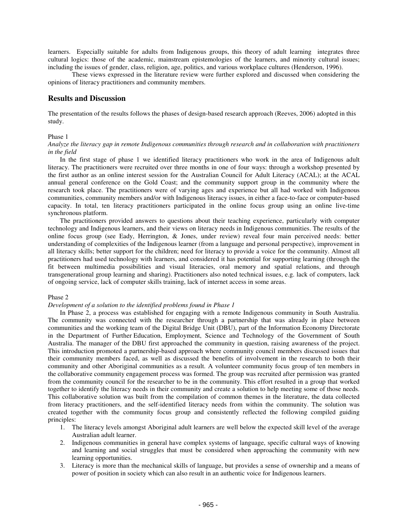learners. Especially suitable for adults from Indigenous groups, this theory of adult learning integrates three cultural logics: those of the academic, mainstream epistemologies of the learners, and minority cultural issues; including the issues of gender, class, religion, age, politics, and various workplace cultures (Henderson, 1996).

These views expressed in the literature review were further explored and discussed when considering the opinions of literacy practitioners and community members.

## **Results and Discussion**

The presentation of the results follows the phases of design-based research approach (Reeves, 2006) adopted in this study.

## Phase 1

## *Analyze the literacy gap in remote Indigenous communities through research and in collaboration with practitioners in the field*

In the first stage of phase 1 we identified literacy practitioners who work in the area of Indigenous adult literacy. The practitioners were recruited over three months in one of four ways: through a workshop presented by the first author as an online interest session for the Australian Council for Adult Literacy (ACAL); at the ACAL annual general conference on the Gold Coast; and the community support group in the community where the research took place. The practitioners were of varying ages and experience but all had worked with Indigenous communities, community members and/or with Indigenous literacy issues, in either a face-to-face or computer-based capacity. In total, ten literacy practitioners participated in the online focus group using an online live-time synchronous platform.

The practitioners provided answers to questions about their teaching experience, particularly with computer technology and Indigenous learners, and their views on literacy needs in Indigenous communities. The results of the online focus group (see Eady, Herrington, & Jones, under review) reveal four main perceived needs: better understanding of complexities of the Indigenous learner (from a language and personal perspective), improvement in all literacy skills; better support for the children; need for literacy to provide a voice for the community. Almost all practitioners had used technology with learners, and considered it has potential for supporting learning (through the fit between multimedia possibilities and visual literacies, oral memory and spatial relations, and through transgenerational group learning and sharing). Practitioners also noted technical issues, e.g. lack of computers, lack of ongoing service, lack of computer skills training, lack of internet access in some areas.

## Phase 2

## *Development of a solution to the identified problems found in Phase 1*

In Phase 2, a process was established for engaging with a remote Indigenous community in South Australia. The community was connected with the researcher through a partnership that was already in place between communities and the working team of the Digital Bridge Unit (DBU), part of the Information Economy Directorate in the Department of Further Education, Employment, Science and Technology of the Government of South Australia. The manager of the DBU first approached the community in question, raising awareness of the project. This introduction promoted a partnership-based approach where community council members discussed issues that their community members faced, as well as discussed the benefits of involvement in the research to both their community and other Aboriginal communities as a result. A volunteer community focus group of ten members in the collaborative community engagement process was formed. The group was recruited after permission was granted from the community council for the researcher to be in the community. This effort resulted in a group that worked together to identify the literacy needs in their community and create a solution to help meeting some of those needs. This collaborative solution was built from the compilation of common themes in the literature, the data collected from literacy practitioners, and the self-identified literacy needs from within the community. The solution was created together with the community focus group and consistently reflected the following compiled guiding principles:

- 1. The literacy levels amongst Aboriginal adult learners are well below the expected skill level of the average Australian adult learner.
- 2. Indigenous communities in general have complex systems of language, specific cultural ways of knowing and learning and social struggles that must be considered when approaching the community with new learning opportunities.
- 3. Literacy is more than the mechanical skills of language, but provides a sense of ownership and a means of power of position in society which can also result in an authentic voice for Indigenous learners.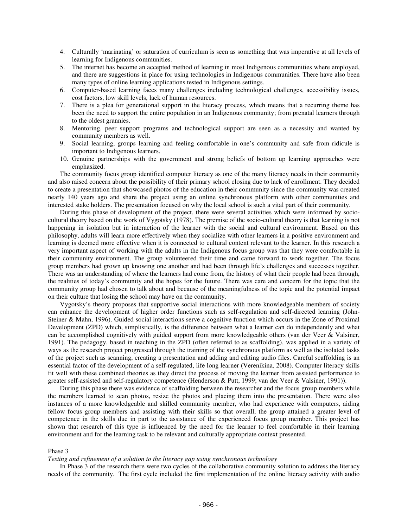- 4. Culturally 'marinating' or saturation of curriculum is seen as something that was imperative at all levels of learning for Indigenous communities.
- 5. The internet has become an accepted method of learning in most Indigenous communities where employed, and there are suggestions in place for using technologies in Indigenous communities. There have also been many types of online learning applications tested in Indigenous settings.
- 6. Computer-based learning faces many challenges including technological challenges, accessibility issues, cost factors, low skill levels, lack of human resources.
- 7. There is a plea for generational support in the literacy process, which means that a recurring theme has been the need to support the entire population in an Indigenous community; from prenatal learners through to the oldest grannies.
- 8. Mentoring, peer support programs and technological support are seen as a necessity and wanted by community members as well.
- 9. Social learning, groups learning and feeling comfortable in one's community and safe from ridicule is important to Indigenous learners.
- 10. Genuine partnerships with the government and strong beliefs of bottom up learning approaches were emphasized.

The community focus group identified computer literacy as one of the many literacy needs in their community and also raised concern about the possibility of their primary school closing due to lack of enrollment. They decided to create a presentation that showcased photos of the education in their community since the community was created nearly 140 years ago and share the project using an online synchronous platform with other communities and interested stake holders. The presentation focused on why the local school is such a vital part of their community.

During this phase of development of the project, there were several activities which were informed by sociocultural theory based on the work of Vygotsky (1978). The premise of the socio-cultural theory is that learning is not happening in isolation but in interaction of the learner with the social and cultural environment. Based on this philosophy, adults will learn more effectively when they socialize with other learners in a positive environment and learning is deemed more effective when it is connected to cultural content relevant to the learner. In this research a very important aspect of working with the adults in the Indigenous focus group was that they were comfortable in their community environment. The group volunteered their time and came forward to work together. The focus group members had grown up knowing one another and had been through life's challenges and successes together. There was an understanding of where the learners had come from, the history of what their people had been through, the realities of today's community and the hopes for the future. There was care and concern for the topic that the community group had chosen to talk about and because of the meaningfulness of the topic and the potential impact on their culture that losing the school may have on the community.

Vygotsky's theory proposes that supportive social interactions with more knowledgeable members of society can enhance the development of higher order functions such as self-regulation and self-directed learning (John-Steiner & Mahn, 1996). Guided social interactions serve a cognitive function which occurs in the Zone of Proximal Development (ZPD) which, simplistically, is the difference between what a learner can do independently and what can be accomplished cognitively with guided support from more knowledgeable others (van der Veer & Valsiner, 1991). The pedagogy, based in teaching in the ZPD (often referred to as scaffolding), was applied in a variety of ways as the research project progressed through the training of the synchronous platform as well as the isolated tasks of the project such as scanning, creating a presentation and adding and editing audio files. Careful scaffolding is an essential factor of the development of a self-regulated, life long learner (Verenikina, 2008). Computer literacy skills fit well with these combined theories as they direct the process of moving the learner from assisted performance to greater self-assisted and self-regulatory competence (Henderson & Putt, 1999; van der Veer & Valsiner, 1991)).

During this phase there was evidence of scaffolding between the researcher and the focus group members while the members learned to scan photos, resize the photos and placing them into the presentation. There were also instances of a more knowledgeable and skilled community member, who had experience with computers, aiding fellow focus group members and assisting with their skills so that overall, the group attained a greater level of competence in the skills due in part to the assistance of the experienced focus group member. This project has shown that research of this type is influenced by the need for the learner to feel comfortable in their learning environment and for the learning task to be relevant and culturally appropriate context presented.

#### Phase 3

## *Testing and refinement of a solution to the literacy gap using synchronous technology*

In Phase 3 of the research there were two cycles of the collaborative community solution to address the literacy needs of the community. The first cycle included the first implementation of the online literacy activity with audio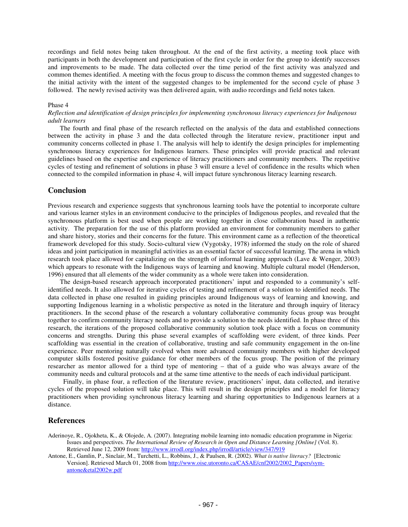recordings and field notes being taken throughout. At the end of the first activity, a meeting took place with participants in both the development and participation of the first cycle in order for the group to identify successes and improvements to be made. The data collected over the time period of the first activity was analyzed and common themes identified. A meeting with the focus group to discuss the common themes and suggested changes to the initial activity with the intent of the suggested changes to be implemented for the second cycle of phase 3 followed. The newly revised activity was then delivered again, with audio recordings and field notes taken.

#### Phase 4

## *Reflection and identification of design principles for implementing synchronous literacy experiences for Indigenous adult learners*

The fourth and final phase of the research reflected on the analysis of the data and established connections between the activity in phase 3 and the data collected through the literature review, practitioner input and community concerns collected in phase 1. The analysis will help to identify the design principles for implementing synchronous literacy experiences for Indigenous learners. These principles will provide practical and relevant guidelines based on the expertise and experience of literacy practitioners and community members. The repetitive cycles of testing and refinement of solutions in phase 3 will ensure a level of confidence in the results which when connected to the compiled information in phase 4, will impact future synchronous literacy learning research.

## **Conclusion**

Previous research and experience suggests that synchronous learning tools have the potential to incorporate culture and various learner styles in an environment conducive to the principles of Indigenous peoples, and revealed that the synchronous platform is best used when people are working together in close collaboration based in authentic activity. The preparation for the use of this platform provided an environment for community members to gather and share history, stories and their concerns for the future. This environment came as a reflection of the theoretical framework developed for this study. Socio-cultural view (Vygotsky, 1978) informed the study on the role of shared ideas and joint participation in meaningful activities as an essential factor of successful learning. The arena in which research took place allowed for capitalizing on the strength of informal learning approach (Lave & Wenger, 2003) which appears to resonate with the Indigenous ways of learning and knowing. Multiple cultural model (Henderson, 1996) ensured that all elements of the wider community as a whole were taken into consideration.

The design-based research approach incorporated practitioners' input and responded to a community's selfidentified needs. It also allowed for iterative cycles of testing and refinement of a solution to identified needs. The data collected in phase one resulted in guiding principles around Indigenous ways of learning and knowing, and supporting Indigenous learning in a wholistic perspective as noted in the literature and through inquiry of literacy practitioners. In the second phase of the research a voluntary collaborative community focus group was brought together to confirm community literacy needs and to provide a solution to the needs identified. In phase three of this research, the iterations of the proposed collaborative community solution took place with a focus on community concerns and strengths. During this phase several examples of scaffolding were evident, of three kinds. Peer scaffolding was essential in the creation of collaborative, trusting and safe community engagement in the on-line experience. Peer mentoring naturally evolved when more advanced community members with higher developed computer skills fostered positive guidance for other members of the focus group. The position of the primary researcher as mentor allowed for a third type of mentoring – that of a guide who was always aware of the community needs and cultural protocols and at the same time attentive to the needs of each individual participant.

Finally, in phase four, a reflection of the literature review, practitioners' input, data collected, and iterative cycles of the proposed solution will take place. This will result in the design principles and a model for literacy practitioners when providing synchronous literacy learning and sharing opportunities to Indigenous learners at a distance.

## **References**

- Aderinoye, R., Ojokheta, K., & Olojede, A. (2007). Integrating mobile learning into nomadic education programme in Nigeria: Issues and perspectives. *The International Review of Research in Open and Distance Learning [Online]* (Vol. 8). Retrieved June 12, 2009 from: http://www.irrodl.org/index.php/irrodl/article/view/347/919
- Antone, E., Gamlin, P., Sinclair, M., Turchetti, L., Robbins, J., & Paulsen, R. (2002). *What is native literacy?* [Electronic Version]. Retrieved March 01, 2008 from http://www.oise.utoronto.ca/CASAE/cnf2002/2002\_Papers/symantone&etal2002w.pdf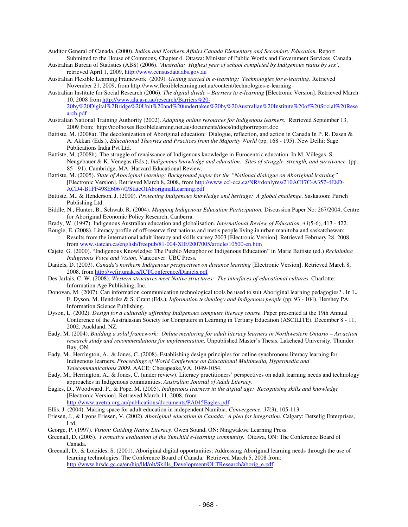Auditor General of Canada. (2000). *Indian and Northern Affairs Canada Elementary and Secondary Education.* Report Submitted to the House of Commons, Chapter 4. Ottawa: Minister of Public Words and Government Services, Canada.

Australian Bureau of Statistics (ABS) (2006). *'Australia: Highest year of school completed by Indigenous status by sex'*, retrieved April 1, 2009, http://www.censusdata.abs.gov.au

Australian Flexible Learning Framework. (2009). *Getting started in e-learning: Technologies for e-learning*. Retrieved November 21, 2009, from http://www.flexiblelearning.net.au/content/technologies-e-learning

Australian Institute for Social Research (2006). *The digital divide – Barriers to e-learning* [Electronic Version]. Retrieved March 10, 2008 from http://www.ala.asn.au/research/Barriers%20- 20by%20Digital%2Bridge%20Unit%20and%20undertaken%20by%20Australian%20Institute%20of%20Social%20Rese arch.pdf

- Australian National Training Authority (2002). *Adapting online resources for Indigenous learners*. Retrieved September 13, 2009 from: http://toolboxes.flexiblelearning.net.au/documents/docs/indighortreport.doc
- Battiste, M. (2008a). The decolonization of Aboriginal education: Dialogue, reflection, and action in Canada In P. R. Dasen & A. Akkari (Eds.), *Educational Theories and Practices from the Majority World* (pp. 168 - 195). New Delhi: Sage Publications India Pvt Ltd.
- Battiste, M. (2008b). The struggle of renaissance of Indigenous knowledge in Eurocentric education. In M. Villegas, S. Neugebauer & K. Venegas (Eds.), *Indigenous knowledge and education: Sites of struggle, strength, and survivance.* (pp. 85 - 91). Cambridge, MA: Harvard Educational Review.
- Battiste, M. (2005). *State of Aboriginal learning: Background paper for the "National dialogue on Aboriginal learning"* [Electronic Version]. Retrieved March 8, 2008, from http://www.ccl-cca.ca/NR/rdonlyres/210AC17C-A357-4E8D-ACD4-B1FF498E6067/0/StateOfAboriginalLearning.pdf
- Battiste, M., & Henderson, J. (2000). *Protecting Indigenous knowledge and heritage: A global challenge*. Saskatoon: Purich Publishing Ltd.
- Biddle, N., Hunter, B., Schwab, R. (2004). *Mapping Indigenous Education Participation.* Discussion Paper No: 267/2004, Centre for Aboriginal Economic Policy Research, Canberra.
- Brady, W. (1997). Indigenous Australian education and globalisation. *International Review of Education, 43*(5-6), 413 422.
- Bougie, E. (2008). Literacy profile of off-reserve first nations and metis people living in urban manitoba and saskatchewan: Results from the international adult literacy and skills survey 2003 [Electronic Version]. Retrieved February 28, 2008, from www.statcan.ca/english/freepub/81-004-XIE/2007005/article/10500-en.htm
- Cajete, G. (2000). "Indigenous Knowledge: The Pueblo Metaphor of Indigenous Education" in Marie Battiste (ed.) *Reclaiming Indigenous Voice and Vision*, Vancouver: UBC Press.
- Daniels, D. (2003). *Canada's northern Indigenous perspectives on distance learning* [Electronic Version]. Retrieved March 8, 2008, from http://vefir.unak.is/ICTConference/Daniels.pdf
- Des Jarlais, C. W. (2008). *Western structures meet Native structures: The interfaces of educational cultures*. Charlotte: Information Age Publishing, Inc.
- Donovan, M. (2007). Can information communication technological tools be used to suit Aboriginal learning pedagogies? . In L. E. Dyson, M. Hendriks & S. Grant (Eds.), *Information technology and Indigenous people* (pp. 93 - 104). Hershey PA: Information Science Publishing.
- Dyson, L. (2002). *Design for a culturally affirming Indigenous computer literacy course.* Paper presented at the 19th Annual Conference of the Australasian Society for Computers in Learning in Tertiary Education (ASCILITE), December 8 - 11, 2002, Auckland, NZ.
- Eady, M. (2004). Building a solid framework: Online mentoring for adult literacy learners in Northwestern Ontario An action *research study and recommendations for implementation.* Unpublished Master's Thesis, Lakehead University, Thunder Bay, ON.
- Eady, M., Herrington, A., & Jones, C. (2008). Establishing design principles for online synchronous literacy learning for Indigenous learners. *Proceedings of World Conference on Educational Multimedia, Hypermedia and Telecommunications 2009*. AACE: Chesapeake,VA. 1049-1054.
- Eady, M., Herrington, A., & Jones, C. (under review). Literacy practitioners' perspectives on adult learning needs and technology approaches in Indigenous communities. *Australian Journal of Adult Literacy*.
- Eagles, D., Woodward, P., & Pope, M. (2005). *Indigenous learners in the digital age: Recognising skills and knowledge* [Electronic Version]. Retrieved March 11, 2008, from

http://www.avetra.org.au/publications/documents/PA045Eagles.pdf

Ellis, J. (2004). Making space for adult education in independent Namibia. *Convergence, 37*(3), 105-113.

- Friesen, J., & Lyons Friesen, V. (2002). *Aboriginal education in Canada: A plea for integration*. Calgary: Detselig Enterprises, Ltd.
- George, P. (1997). *Vision: Guiding Native Literacy*. Owen Sound, ON: Ningwakwe Learning Press.
- Greenall, D. (2005). *Formative evaluation of the Sunchild e-learning community.* Ottawa, ON: The Conference Board of Canada.
- Greenall, D., & Loizides, S. (2001). Aboriginal digital opportunities: Addressing Aboriginal learning needs through the use of learning technologies: The Conference Board of Canada. Retrieved March 5, 2008 from: http://www.hrsdc.gc.ca/en/hip/lld/olt/Skills\_Development/OLTResearch/aborig\_e.pdf